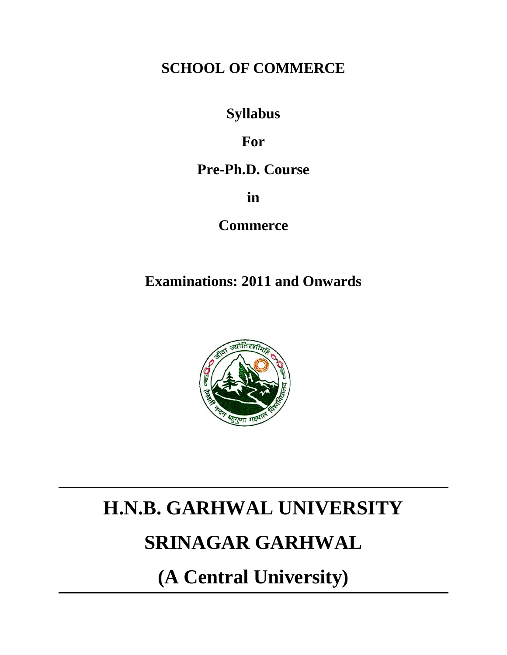# **SCHOOL OF COMMERCE**

# **Syllabus**

# **For**

# **Pre-Ph.D. Course**

**in** 

**Commerce** 

# **Examinations: 2011 and Onwards**



# **H.N.B. GARHWAL UNIVERSITY**

# **SRINAGAR GARHWAL**

**(A Central University)**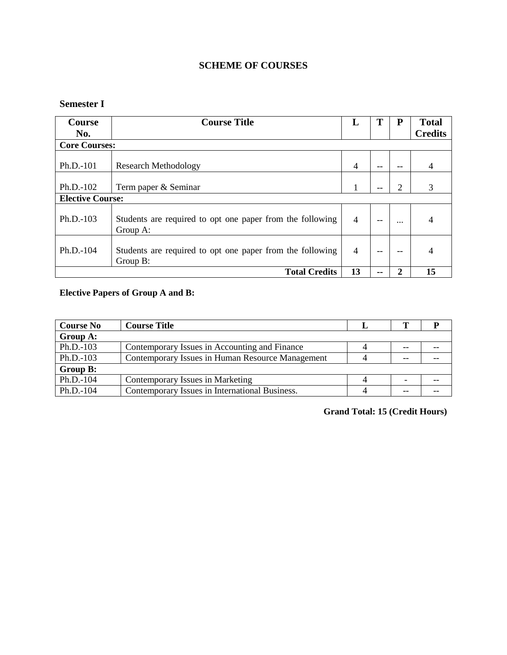# **SCHEME OF COURSES**

# **Semester I**

| <b>Course</b>           | <b>Course Title</b>                                                   | L              |  | P        | <b>Total</b>   |  |  |  |  |  |
|-------------------------|-----------------------------------------------------------------------|----------------|--|----------|----------------|--|--|--|--|--|
| No.                     |                                                                       |                |  |          | <b>Credits</b> |  |  |  |  |  |
| <b>Core Courses:</b>    |                                                                       |                |  |          |                |  |  |  |  |  |
| $Ph.D.-101$             | <b>Research Methodology</b>                                           | $\overline{4}$ |  |          |                |  |  |  |  |  |
| Ph.D.-102               | Term paper & Seminar                                                  |                |  | 2        | 3              |  |  |  |  |  |
| <b>Elective Course:</b> |                                                                       |                |  |          |                |  |  |  |  |  |
| $Ph.D.-103$             | Students are required to opt one paper from the following<br>Group A: | $\overline{4}$ |  | $\cdots$ |                |  |  |  |  |  |
| $Ph.D.-104$             | Students are required to opt one paper from the following<br>Group B: | 4              |  |          |                |  |  |  |  |  |
|                         | <b>Total Credits</b>                                                  | 13             |  |          | 15             |  |  |  |  |  |

# **Elective Papers of Group A and B:**

| <b>Course No</b>                                                 | <b>Course Title</b>                              |   |  |  |  |
|------------------------------------------------------------------|--------------------------------------------------|---|--|--|--|
| Group A:                                                         |                                                  |   |  |  |  |
| Ph.D.-103                                                        | Contemporary Issues in Accounting and Finance    | 4 |  |  |  |
| $Ph.D.-103$                                                      | Contemporary Issues in Human Resource Management |   |  |  |  |
| Group B:                                                         |                                                  |   |  |  |  |
| Ph.D.-104                                                        | Contemporary Issues in Marketing                 | 4 |  |  |  |
| Ph.D.-104<br>Contemporary Issues in International Business.<br>4 |                                                  |   |  |  |  |

**Grand Total: 15 (Credit Hours)**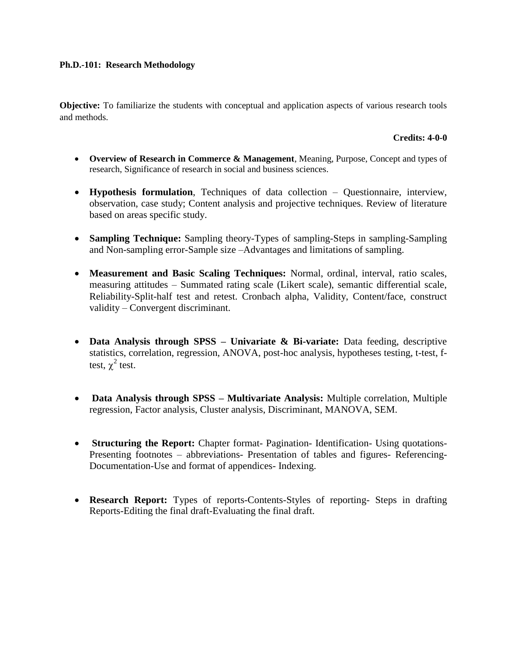#### **Ph.D.-101: Research Methodology**

**Objective:** To familiarize the students with conceptual and application aspects of various research tools and methods.

#### **Credits: 4-0-0**

- **Overview of Research in Commerce & Management**, Meaning, Purpose, Concept and types of research, Significance of research in social and business sciences.
- **Hypothesis formulation**, Techniques of data collection Questionnaire, interview, observation, case study; Content analysis and projective techniques. Review of literature based on areas specific study.
- **Sampling Technique:** Sampling theory-Types of sampling-Steps in sampling-Sampling and Non-sampling error-Sample size –Advantages and limitations of sampling.
- **Measurement and Basic Scaling Techniques:** Normal, ordinal, interval, ratio scales, measuring attitudes – Summated rating scale (Likert scale), semantic differential scale, Reliability-Split-half test and retest. Cronbach alpha, Validity, Content/face, construct validity – Convergent discriminant.
- **Data Analysis through SPSS – Univariate & Bi-variate:** Data feeding, descriptive statistics, correlation, regression, ANOVA, post-hoc analysis, hypotheses testing, t-test, ftest,  $\chi^2$  test.
- **Data Analysis through SPSS – Multivariate Analysis:** Multiple correlation, Multiple regression, Factor analysis, Cluster analysis, Discriminant, MANOVA, SEM.
- **Structuring the Report:** Chapter format- Pagination- Identification- Using quotations-Presenting footnotes – abbreviations- Presentation of tables and figures- Referencing-Documentation-Use and format of appendices- Indexing.
- **Research Report:** Types of reports-Contents-Styles of reporting- Steps in drafting Reports-Editing the final draft-Evaluating the final draft.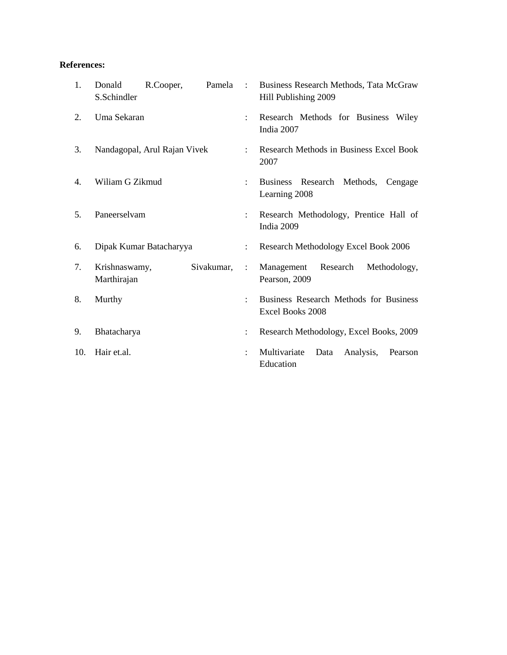## **References:**

| 1.  | Donald<br>S.Schindler        | R.Cooper, | Pamela               | $\sim$ 10 $\sim$                                           | Business Research Methods, Tata McGraw<br>Hill Publishing 2009 |  |  |
|-----|------------------------------|-----------|----------------------|------------------------------------------------------------|----------------------------------------------------------------|--|--|
| 2.  | Uma Sekaran                  |           |                      | $\ddot{\cdot}$                                             | Research Methods for Business Wiley<br>India 2007              |  |  |
| 3.  | Nandagopal, Arul Rajan Vivek |           |                      | $\mathbf{L}$                                               | Research Methods in Business Excel Book<br>2007                |  |  |
| 4.  | Wiliam G Zikmud              |           |                      | $\ddot{\phantom{a}}$                                       | Business Research Methods,<br>Cengage<br>Learning 2008         |  |  |
| 5.  | Paneerselvam                 |           |                      | $\ddot{\phantom{a}}$                                       | Research Methodology, Prentice Hall of<br>India 2009           |  |  |
| 6.  | Dipak Kumar Batacharyya      |           | $\ddot{\phantom{a}}$ | Research Methodology Excel Book 2006                       |                                                                |  |  |
| 7.  | Krishnaswamy,<br>Marthirajan |           | Sivakumar,           | ÷                                                          | Research<br>Management<br>Methodology,<br>Pearson, 2009        |  |  |
| 8.  | Murthy                       |           | $\ddot{\cdot}$       | Business Research Methods for Business<br>Excel Books 2008 |                                                                |  |  |
| 9.  | Bhatacharya                  |           | ÷                    | Research Methodology, Excel Books, 2009                    |                                                                |  |  |
| 10. | Hair et.al.                  |           |                      | ÷                                                          | Multivariate<br>Analysis,<br>Data<br>Pearson<br>Education      |  |  |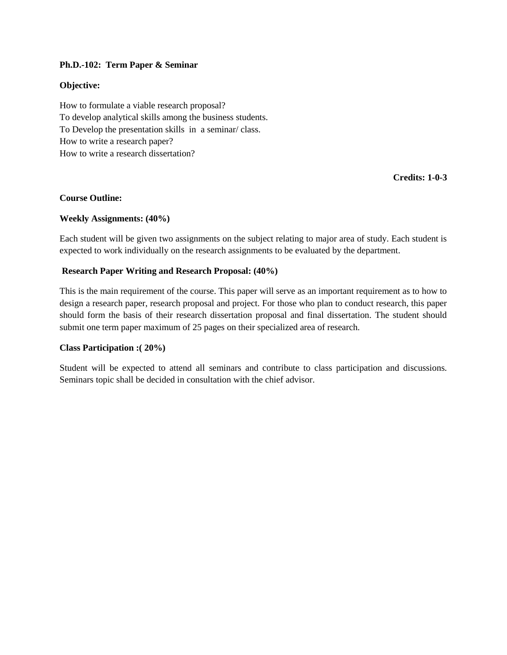#### **Ph.D.-102: Term Paper & Seminar**

#### **Objective:**

How to formulate a viable research proposal? To develop analytical skills among the business students. To Develop the presentation skills in a seminar/ class. How to write a research paper? How to write a research dissertation?

**Credits: 1-0-3**

#### **Course Outline:**

#### **Weekly Assignments: (40%)**

Each student will be given two assignments on the subject relating to major area of study. Each student is expected to work individually on the research assignments to be evaluated by the department.

#### **Research Paper Writing and Research Proposal: (40%)**

This is the main requirement of the course. This paper will serve as an important requirement as to how to design a research paper, research proposal and project. For those who plan to conduct research, this paper should form the basis of their research dissertation proposal and final dissertation. The student should submit one term paper maximum of 25 pages on their specialized area of research.

#### **Class Participation :( 20%)**

Student will be expected to attend all seminars and contribute to class participation and discussions. Seminars topic shall be decided in consultation with the chief advisor.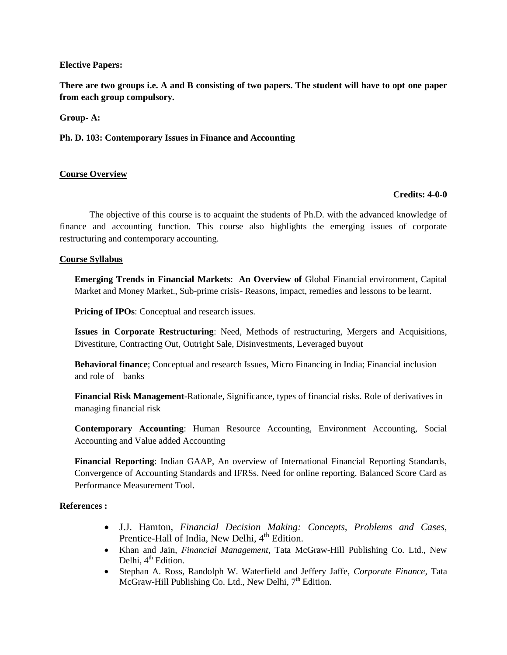#### **Elective Papers:**

**There are two groups i.e. A and B consisting of two papers. The student will have to opt one paper from each group compulsory.** 

**Group- A:**

**Ph. D. 103: Contemporary Issues in Finance and Accounting**

#### **Course Overview**

#### **Credits: 4-0-0**

The objective of this course is to acquaint the students of Ph.D. with the advanced knowledge of finance and accounting function. This course also highlights the emerging issues of corporate restructuring and contemporary accounting.

#### **Course Syllabus**

**Emerging Trends in Financial Markets**: **An Overview of** Global Financial environment, Capital Market and Money Market., Sub-prime crisis- Reasons, impact, remedies and lessons to be learnt.

**Pricing of IPOs**: Conceptual and research issues.

**Issues in Corporate Restructuring**: Need, Methods of restructuring, Mergers and Acquisitions, Divestiture, Contracting Out, Outright Sale, Disinvestments, Leveraged buyout

**Behavioral finance**; Conceptual and research Issues, Micro Financing in India; Financial inclusion and role of banks

**Financial Risk Management**-Rationale, Significance, types of financial risks. Role of derivatives in managing financial risk

**Contemporary Accounting**: Human Resource Accounting, Environment Accounting, Social Accounting and Value added Accounting

**Financial Reporting**: Indian GAAP, An overview of International Financial Reporting Standards, Convergence of Accounting Standards and IFRSs. Need for online reporting. Balanced Score Card as Performance Measurement Tool.

#### **References :**

- J.J. Hamton, *Financial Decision Making: Concepts, Problems and Cases*, Prentice-Hall of India, New Delhi,  $4<sup>th</sup>$  Edition.
- Khan and Jain, *Financial Management*, Tata McGraw-Hill Publishing Co. Ltd., New Delhi,  $4<sup>th</sup>$  Edition.
- Stephan A. Ross, Randolph W. Waterfield and Jeffery Jaffe, *Corporate Finance,* Tata McGraw-Hill Publishing Co. Ltd., New Delhi,  $7<sup>th</sup>$  Edition.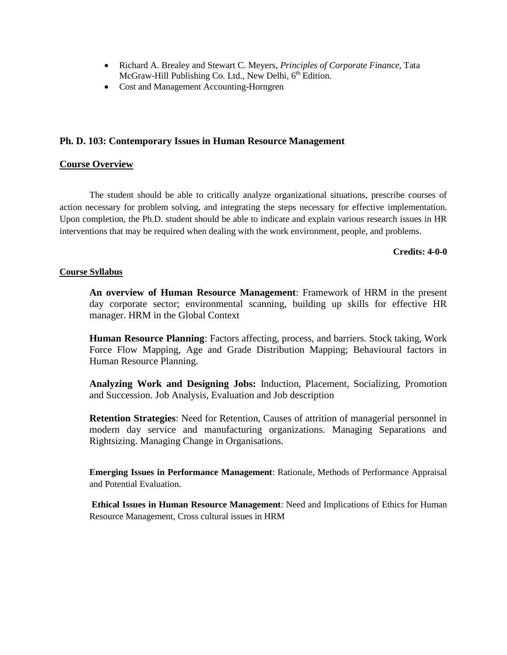- Richard A. Brealey and Stewart C. Meyers, *Principles of Corporate Finance,* Tata McGraw-Hill Publishing Co. Ltd., New Delhi,  $6<sup>th</sup>$  Edition.
- Cost and Management Accounting-Horngren

#### **Ph. D. 103: Contemporary Issues in Human Resource Management**

#### **Course Overview**

The student should be able to critically analyze organizational situations, prescribe courses of action necessary for problem solving, and integrating the steps necessary for effective implementation. Upon completion, the Ph.D. student should be able to indicate and explain various research issues in HR interventions that may be required when dealing with the work environment, people, and problems.

#### **Credits: 4-0-0**

#### **Course Syllabus**

**An overview of Human Resource Management**: Framework of HRM in the present day corporate sector; environmental scanning, building up skills for effective HR manager. HRM in the Global Context

**Human Resource Planning**: Factors affecting, process, and barriers. Stock taking, Work Force Flow Mapping, Age and Grade Distribution Mapping; Behavioural factors in Human Resource Planning.

**Analyzing Work and Designing Jobs:** Induction, Placement, Socializing, Promotion and Succession. Job Analysis, Evaluation and Job description

**Retention Strategies**: Need for Retention, Causes of attrition of managerial personnel in modern day service and manufacturing organizations. Managing Separations and Rightsizing. Managing Change in Organisations.

**Emerging Issues in Performance Management**: Rationale, Methods of Performance Appraisal and Potential Evaluation.

**Ethical Issues in Human Resource Management**: Need and Implications of Ethics for Human Resource Management, Cross cultural issues in HRM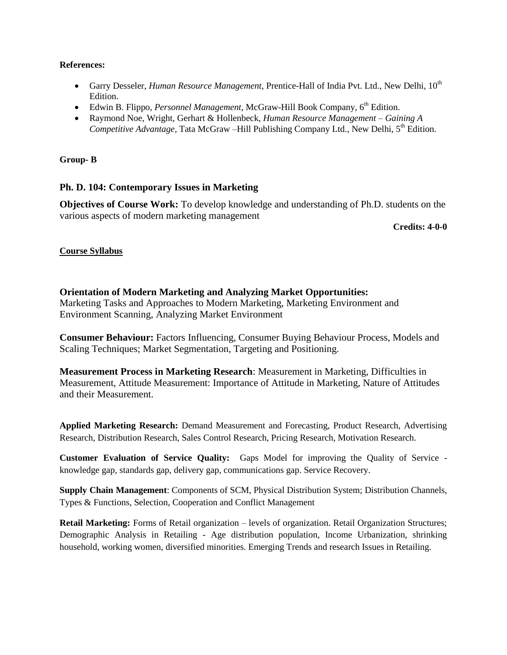#### **References:**

- Garry Desseler, *Human Resource Management*, Prentice-Hall of India Pvt. Ltd., New Delhi, 10th Edition.
- Edwin B. Flippo, *Personnel Management*, McGraw-Hill Book Company, 6th Edition.
- Raymond Noe, Wright, Gerhart & Hollenbeck, *Human Resource Management – Gaining A Competitive Advantage,* Tata McGraw –Hill Publishing Company Ltd., New Delhi, 5<sup>th</sup> Edition.

### **Group- B**

## **Ph. D. 104: Contemporary Issues in Marketing**

**Objectives of Course Work:** To develop knowledge and understanding of Ph.D. students on the various aspects of modern marketing management

**Credits: 4-0-0**

## **Course Syllabus**

## **Orientation of Modern Marketing and Analyzing Market Opportunities:**

Marketing Tasks and Approaches to Modern Marketing, Marketing Environment and Environment Scanning, Analyzing Market Environment

**Consumer Behaviour:** Factors Influencing, Consumer Buying Behaviour Process, Models and Scaling Techniques; Market Segmentation, Targeting and Positioning.

**Measurement Process in Marketing Research**: Measurement in Marketing, Difficulties in Measurement, Attitude Measurement: Importance of Attitude in Marketing, Nature of Attitudes and their Measurement.

**Applied Marketing Research:** Demand Measurement and Forecasting, Product Research, Advertising Research, Distribution Research, Sales Control Research, Pricing Research, Motivation Research.

**Customer Evaluation of Service Quality:** Gaps Model for improving the Quality of Service knowledge gap, standards gap, delivery gap, communications gap. Service Recovery.

**Supply Chain Management**: Components of SCM, Physical Distribution System; Distribution Channels, Types & Functions, Selection, Cooperation and Conflict Management

Retail Marketing: Forms of Retail organization – levels of organization. Retail Organization Structures; Demographic Analysis in Retailing - Age distribution population, Income Urbanization, shrinking household, working women, diversified minorities. Emerging Trends and research Issues in Retailing.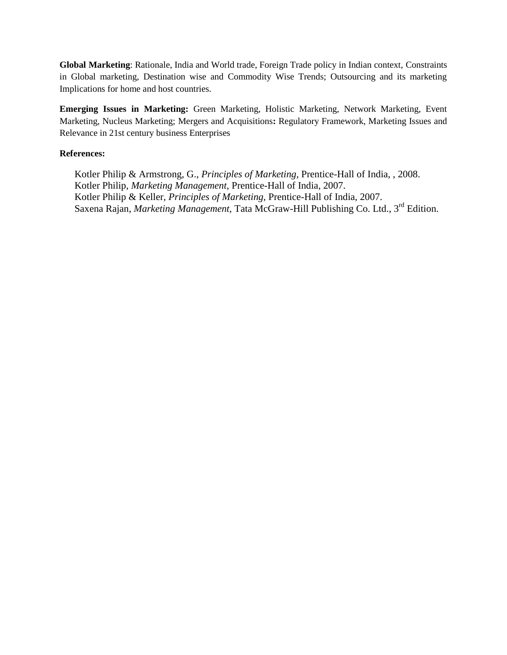**Global Marketing**: Rationale, India and World trade, Foreign Trade policy in Indian context, Constraints in Global marketing, Destination wise and Commodity Wise Trends; Outsourcing and its marketing Implications for home and host countries.

**Emerging Issues in Marketing:** Green Marketing, Holistic Marketing, Network Marketing, Event Marketing, Nucleus Marketing; Mergers and Acquisitions**:** Regulatory Framework, Marketing Issues and Relevance in 21st century business Enterprises

#### **References:**

Kotler Philip & Armstrong, G., *Principles of Marketing,* Prentice-Hall of India, , 2008. Kotler Philip, *Marketing Management,* Prentice-Hall of India, 2007. Kotler Philip & Keller, *Principles of Marketing,* Prentice-Hall of India, 2007. Saxena Rajan, *Marketing Management,* Tata McGraw-Hill Publishing Co. Ltd., 3rd Edition.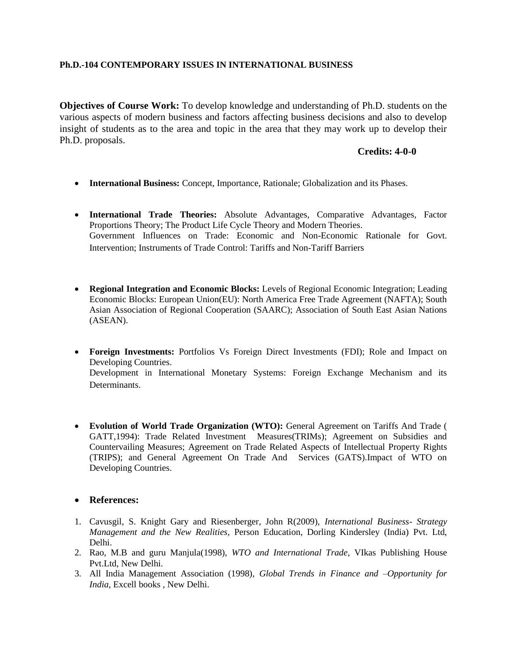#### **Ph.D.-104 CONTEMPORARY ISSUES IN INTERNATIONAL BUSINESS**

**Objectives of Course Work:** To develop knowledge and understanding of Ph.D. students on the various aspects of modern business and factors affecting business decisions and also to develop insight of students as to the area and topic in the area that they may work up to develop their Ph.D. proposals.

### **Credits: 4-0-0**

- **International Business:** Concept, Importance, Rationale; Globalization and its Phases.
- **International Trade Theories:** Absolute Advantages, Comparative Advantages, Factor Proportions Theory; The Product Life Cycle Theory and Modern Theories. Government Influences on Trade: Economic and Non-Economic Rationale for Govt. Intervention; Instruments of Trade Control: Tariffs and Non-Tariff Barriers
- **Regional Integration and Economic Blocks:** Levels of Regional Economic Integration; Leading Economic Blocks: European Union(EU): North America Free Trade Agreement (NAFTA); South Asian Association of Regional Cooperation (SAARC); Association of South East Asian Nations (ASEAN).
- **Foreign Investments:** Portfolios Vs Foreign Direct Investments (FDI); Role and Impact on Developing Countries. Development in International Monetary Systems: Foreign Exchange Mechanism and its Determinants.
- **Evolution of World Trade Organization (WTO):** General Agreement on Tariffs And Trade ( GATT,1994): Trade Related Investment Measures(TRIMs); Agreement on Subsidies and Countervailing Measures; Agreement on Trade Related Aspects of Intellectual Property Rights (TRIPS); and General Agreement On Trade And Services (GATS).Impact of WTO on Developing Countries.

## **References:**

- 1. Cavusgil, S. Knight Gary and Riesenberger, John R(2009), *International Business Strategy Management and the New Realities,* Person Education, Dorling Kindersley (India) Pvt. Ltd, Delhi.
- 2. Rao, M.B and guru Manjula(1998), *WTO and International Trade*, VIkas Publishing House Pvt.Ltd, New Delhi.
- 3. All India Management Association (1998), *Global Trends in Finance and –Opportunity for India,* Excell books , New Delhi.